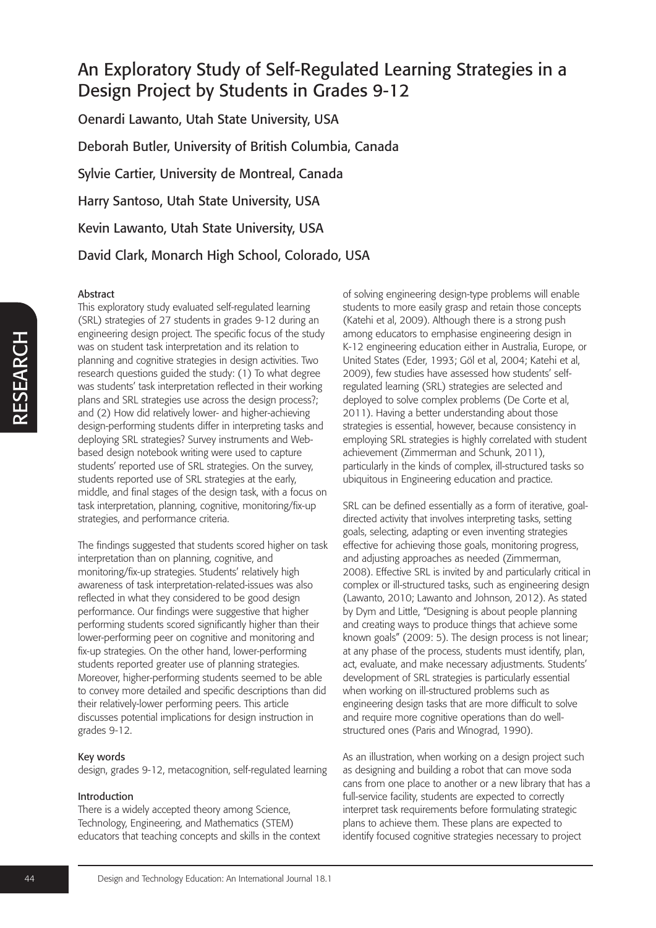Oenardi Lawanto, Utah State University, USA Deborah Butler, University of British Columbia, Canada Sylvie Cartier, University de Montreal, Canada Harry Santoso, Utah State University, USA Kevin Lawanto, Utah State University, USA David Clark, Monarch High School, Colorado, USA

#### Abstract

This exploratory study evaluated self-regulated learning (SRL) strategies of 27 students in grades 9-12 during an engineering design project. The specific focus of the study was on student task interpretation and its relation to planning and cognitive strategies in design activities. Two research questions guided the study: (1) To what degree was students' task interpretation reflected in their working plans and SRL strategies use across the design process?; and (2) How did relatively lower- and higher-achieving design-performing students differ in interpreting tasks and deploying SRL strategies? Survey instruments and Webbased design notebook writing were used to capture students' reported use of SRL strategies. On the survey, students reported use of SRL strategies at the early, middle, and final stages of the design task, with a focus on task interpretation, planning, cognitive, monitoring/fix-up strategies, and performance criteria.

The findings suggested that students scored higher on task interpretation than on planning, cognitive, and monitoring/fix-up strategies. Students' relatively high awareness of task interpretation-related-issues was also reflected in what they considered to be good design performance. Our findings were suggestive that higher performing students scored significantly higher than their lower-performing peer on cognitive and monitoring and fix-up strategies. On the other hand, lower-performing students reported greater use of planning strategies. Moreover, higher-performing students seemed to be able to convey more detailed and specific descriptions than did their relatively-lower performing peers. This article discusses potential implications for design instruction in grades 9-12.

#### Key words

design, grades 9-12, metacognition, self-regulated learning

#### Introduction

There is a widely accepted theory among Science, Technology, Engineering, and Mathematics (STEM) educators that teaching concepts and skills in the context of solving engineering design-type problems will enable students to more easily grasp and retain those concepts (Katehi et al, 2009). Although there is a strong push among educators to emphasise engineering design in K-12 engineering education either in Australia, Europe, or United States (Eder, 1993; Göl et al, 2004; Katehi et al, 2009), few studies have assessed how students' selfregulated learning (SRL) strategies are selected and deployed to solve complex problems (De Corte et al, 2011). Having a better understanding about those strategies is essential, however, because consistency in employing SRL strategies is highly correlated with student achievement (Zimmerman and Schunk, 2011), particularly in the kinds of complex, ill-structured tasks so ubiquitous in Engineering education and practice.

SRL can be defined essentially as a form of iterative, goaldirected activity that involves interpreting tasks, setting goals, selecting, adapting or even inventing strategies effective for achieving those goals, monitoring progress, and adjusting approaches as needed (Zimmerman, 2008). Effective SRL is invited by and particularly critical in complex or ill-structured tasks, such as engineering design (Lawanto, 2010; Lawanto and Johnson, 2012). As stated by Dym and Little, "Designing is about people planning and creating ways to produce things that achieve some known goals" (2009: 5). The design process is not linear; at any phase of the process, students must identify, plan, act, evaluate, and make necessary adjustments. Students' development of SRL strategies is particularly essential when working on ill-structured problems such as engineering design tasks that are more difficult to solve and require more cognitive operations than do wellstructured ones (Paris and Winograd, 1990).

As an illustration, when working on a design project such as designing and building a robot that can move soda cans from one place to another or a new library that has a full-service facility, students are expected to correctly interpret task requirements before formulating strategic plans to achieve them. These plans are expected to identify focused cognitive strategies necessary to project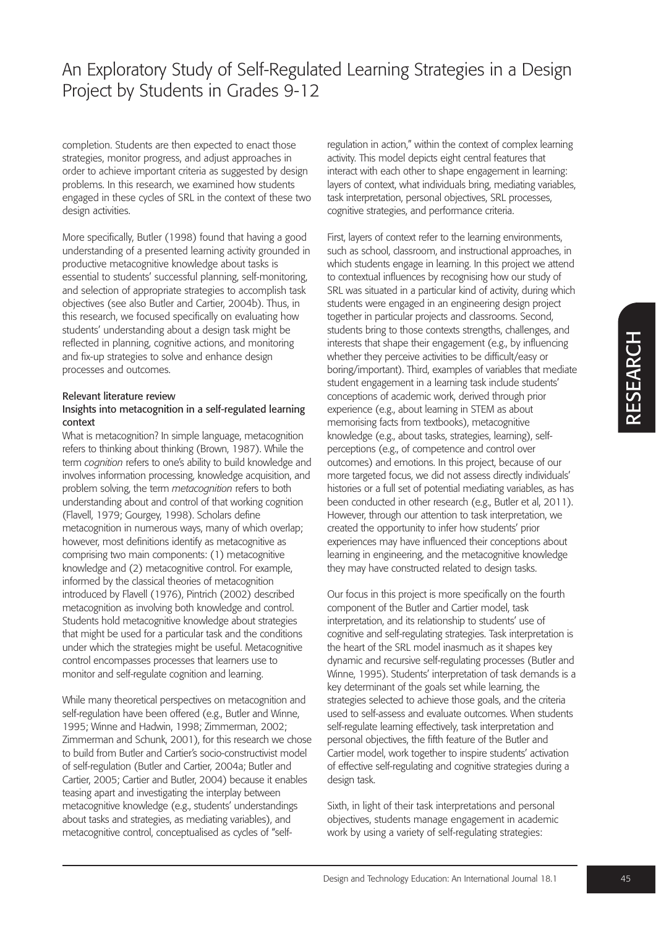completion. Students are then expected to enact those strategies, monitor progress, and adjust approaches in order to achieve important criteria as suggested by design problems. In this research, we examined how students engaged in these cycles of SRL in the context of these two design activities.

More specifically, Butler (1998) found that having a good understanding of a presented learning activity grounded in productive metacognitive knowledge about tasks is essential to students' successful planning, self-monitoring, and selection of appropriate strategies to accomplish task objectives (see also Butler and Cartier, 2004b). Thus, in this research, we focused specifically on evaluating how students' understanding about a design task might be reflected in planning, cognitive actions, and monitoring and fix-up strategies to solve and enhance design processes and outcomes.

#### Relevant literature review

#### Insights into metacognition in a self-regulated learning context

What is metacognition? In simple language, metacognition refers to thinking about thinking (Brown, 1987). While the term *cognition* refers to one's ability to build knowledge and involves information processing, knowledge acquisition, and problem solving, the term *metacognition* refers to both understanding about and control of that working cognition (Flavell, 1979; Gourgey, 1998). Scholars define metacognition in numerous ways, many of which overlap; however, most definitions identify as metacognitive as comprising two main components: (1) metacognitive knowledge and (2) metacognitive control. For example, informed by the classical theories of metacognition introduced by Flavell (1976), Pintrich (2002) described metacognition as involving both knowledge and control. Students hold metacognitive knowledge about strategies that might be used for a particular task and the conditions under which the strategies might be useful. Metacognitive control encompasses processes that learners use to monitor and self-regulate cognition and learning.

While many theoretical perspectives on metacognition and self-regulation have been offered (e.g., Butler and Winne, 1995; Winne and Hadwin, 1998; Zimmerman, 2002; Zimmerman and Schunk, 2001), for this research we chose to build from Butler and Cartier's socio-constructivist model of self-regulation (Butler and Cartier, 2004a; Butler and Cartier, 2005; Cartier and Butler, 2004) because it enables teasing apart and investigating the interplay between metacognitive knowledge (e.g., students' understandings about tasks and strategies, as mediating variables), and metacognitive control, conceptualised as cycles of "self-

regulation in action," within the context of complex learning activity. This model depicts eight central features that interact with each other to shape engagement in learning: layers of context, what individuals bring, mediating variables, task interpretation, personal objectives, SRL processes, cognitive strategies, and performance criteria.

First, layers of context refer to the learning environments, such as school, classroom, and instructional approaches, in which students engage in learning. In this project we attend to contextual influences by recognising how our study of SRL was situated in a particular kind of activity, during which students were engaged in an engineering design project together in particular projects and classrooms. Second, students bring to those contexts strengths, challenges, and interests that shape their engagement (e.g., by influencing whether they perceive activities to be difficult/easy or boring/important). Third, examples of variables that mediate student engagement in a learning task include students' conceptions of academic work, derived through prior experience (e.g., about learning in STEM as about memorising facts from textbooks), metacognitive knowledge (e.g., about tasks, strategies, learning), selfperceptions (e.g., of competence and control over outcomes) and emotions. In this project, because of our more targeted focus, we did not assess directly individuals' histories or a full set of potential mediating variables, as has been conducted in other research (e.g., Butler et al, 2011). However, through our attention to task interpretation, we created the opportunity to infer how students' prior experiences may have influenced their conceptions about learning in engineering, and the metacognitive knowledge they may have constructed related to design tasks.

Our focus in this project is more specifically on the fourth component of the Butler and Cartier model, task interpretation, and its relationship to students' use of cognitive and self-regulating strategies. Task interpretation is the heart of the SRL model inasmuch as it shapes key dynamic and recursive self-regulating processes (Butler and Winne, 1995). Students' interpretation of task demands is a key determinant of the goals set while learning, the strategies selected to achieve those goals, and the criteria used to self-assess and evaluate outcomes. When students self-regulate learning effectively, task interpretation and personal objectives, the fifth feature of the Butler and Cartier model, work together to inspire students' activation of effective self-regulating and cognitive strategies during a design task.

Sixth, in light of their task interpretations and personal objectives, students manage engagement in academic work by using a variety of self-regulating strategies: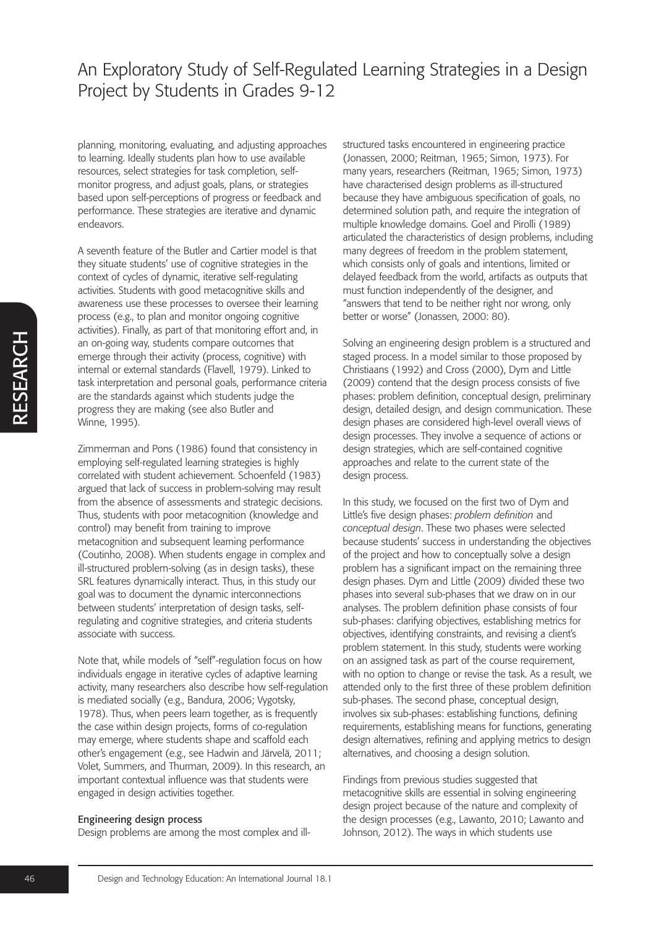planning, monitoring, evaluating, and adjusting approaches to learning. Ideally students plan how to use available resources, select strategies for task completion, selfmonitor progress, and adjust goals, plans, or strategies based upon self-perceptions of progress or feedback and performance. These strategies are iterative and dynamic endeavors.

A seventh feature of the Butler and Cartier model is that they situate students' use of cognitive strategies in the context of cycles of dynamic, iterative self-regulating activities. Students with good metacognitive skills and awareness use these processes to oversee their learning process (e.g., to plan and monitor ongoing cognitive activities). Finally, as part of that monitoring effort and, in an on-going way, students compare outcomes that emerge through their activity (process, cognitive) with internal or external standards (Flavell, 1979). Linked to task interpretation and personal goals, performance criteria are the standards against which students judge the progress they are making (see also Butler and Winne, 1995).

Zimmerman and Pons (1986) found that consistency in employing self-regulated learning strategies is highly correlated with student achievement. Schoenfeld (1983) argued that lack of success in problem-solving may result from the absence of assessments and strategic decisions. Thus, students with poor metacognition (knowledge and control) may benefit from training to improve metacognition and subsequent learning performance (Coutinho, 2008). When students engage in complex and ill-structured problem-solving (as in design tasks), these SRL features dynamically interact. Thus, in this study our goal was to document the dynamic interconnections between students' interpretation of design tasks, selfregulating and cognitive strategies, and criteria students associate with success.

Note that, while models of "self"-regulation focus on how individuals engage in iterative cycles of adaptive learning activity, many researchers also describe how self-regulation is mediated socially (e.g., Bandura, 2006; Vygotsky, 1978). Thus, when peers learn together, as is frequently the case within design projects, forms of co-regulation may emerge, where students shape and scaffold each other's engagement (e.g., see Hadwin and Järvelä, 2011; Volet, Summers, and Thurman, 2009). In this research, an important contextual influence was that students were engaged in design activities together.

#### Engineering design process

Design problems are among the most complex and ill-

structured tasks encountered in engineering practice (Jonassen, 2000; Reitman, 1965; Simon, 1973). For many years, researchers (Reitman, 1965; Simon, 1973) have characterised design problems as ill-structured because they have ambiguous specification of goals, no determined solution path, and require the integration of multiple knowledge domains. Goel and Pirolli (1989) articulated the characteristics of design problems, including many degrees of freedom in the problem statement, which consists only of goals and intentions, limited or delayed feedback from the world, artifacts as outputs that must function independently of the designer, and "answers that tend to be neither right nor wrong, only better or worse" (Jonassen, 2000: 80).

Solving an engineering design problem is a structured and staged process. In a model similar to those proposed by Christiaans (1992) and Cross (2000), Dym and Little (2009) contend that the design process consists of five phases: problem definition, conceptual design, preliminary design, detailed design, and design communication. These design phases are considered high-level overall views of design processes. They involve a sequence of actions or design strategies, which are self-contained cognitive approaches and relate to the current state of the design process.

In this study, we focused on the first two of Dym and Little's five design phases: *problem definition* and *conceptual design*. These two phases were selected because students' success in understanding the objectives of the project and how to conceptually solve a design problem has a significant impact on the remaining three design phases. Dym and Little (2009) divided these two phases into several sub-phases that we draw on in our analyses. The problem definition phase consists of four sub-phases: clarifying objectives, establishing metrics for objectives, identifying constraints, and revising a client's problem statement. In this study, students were working on an assigned task as part of the course requirement, with no option to change or revise the task. As a result, we attended only to the first three of these problem definition sub-phases. The second phase, conceptual design, involves six sub-phases: establishing functions, defining requirements, establishing means for functions, generating design alternatives, refining and applying metrics to design alternatives, and choosing a design solution.

Findings from previous studies suggested that metacognitive skills are essential in solving engineering design project because of the nature and complexity of the design processes (e.g., Lawanto, 2010; Lawanto and Johnson, 2012). The ways in which students use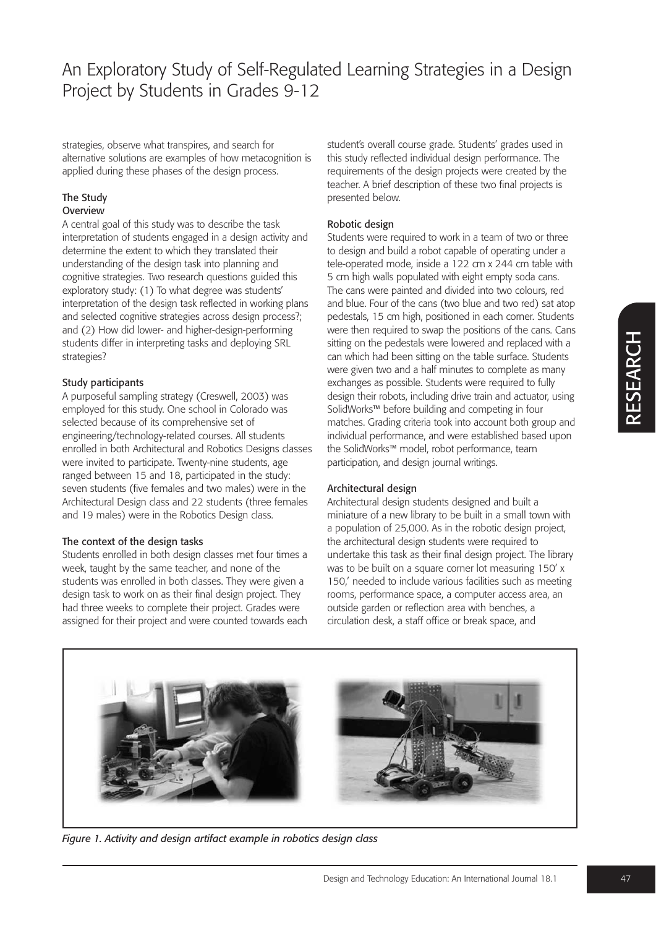strategies, observe what transpires, and search for alternative solutions are examples of how metacognition is applied during these phases of the design process.

#### The Study **Overview**

A central goal of this study was to describe the task interpretation of students engaged in a design activity and determine the extent to which they translated their understanding of the design task into planning and cognitive strategies. Two research questions guided this exploratory study: (1) To what degree was students' interpretation of the design task reflected in working plans and selected cognitive strategies across design process?; and (2) How did lower- and higher-design-performing students differ in interpreting tasks and deploying SRL strategies?

### Study participants

A purposeful sampling strategy (Creswell, 2003) was employed for this study. One school in Colorado was selected because of its comprehensive set of engineering/technology-related courses. All students enrolled in both Architectural and Robotics Designs classes were invited to participate. Twenty-nine students, age ranged between 15 and 18, participated in the study: seven students (five females and two males) were in the Architectural Design class and 22 students (three females and 19 males) were in the Robotics Design class.

### The context of the design tasks

Students enrolled in both design classes met four times a week, taught by the same teacher, and none of the students was enrolled in both classes. They were given a design task to work on as their final design project. They had three weeks to complete their project. Grades were assigned for their project and were counted towards each student's overall course grade. Students' grades used in this study reflected individual design performance. The requirements of the design projects were created by the teacher. A brief description of these two final projects is presented below.

### Robotic design

Students were required to work in a team of two or three to design and build a robot capable of operating under a tele-operated mode, inside a 122 cm x 244 cm table with 5 cm high walls populated with eight empty soda cans. The cans were painted and divided into two colours, red and blue. Four of the cans (two blue and two red) sat atop pedestals, 15 cm high, positioned in each corner. Students were then required to swap the positions of the cans. Cans sitting on the pedestals were lowered and replaced with a can which had been sitting on the table surface. Students were given two and a half minutes to complete as many exchanges as possible. Students were required to fully design their robots, including drive train and actuator, using SolidWorks™ before building and competing in four matches. Grading criteria took into account both group and individual performance, and were established based upon the SolidWorks™ model, robot performance, team participation, and design journal writings.

### Architectural design

Architectural design students designed and built a miniature of a new library to be built in a small town with a population of 25,000. As in the robotic design project, the architectural design students were required to undertake this task as their final design project. The library was to be built on a square corner lot measuring 150' x 150,' needed to include various facilities such as meeting rooms, performance space, a computer access area, an outside garden or reflection area with benches, a circulation desk, a staff office or break space, and



*Figure 1. Activity and design artifact example in robotics design class*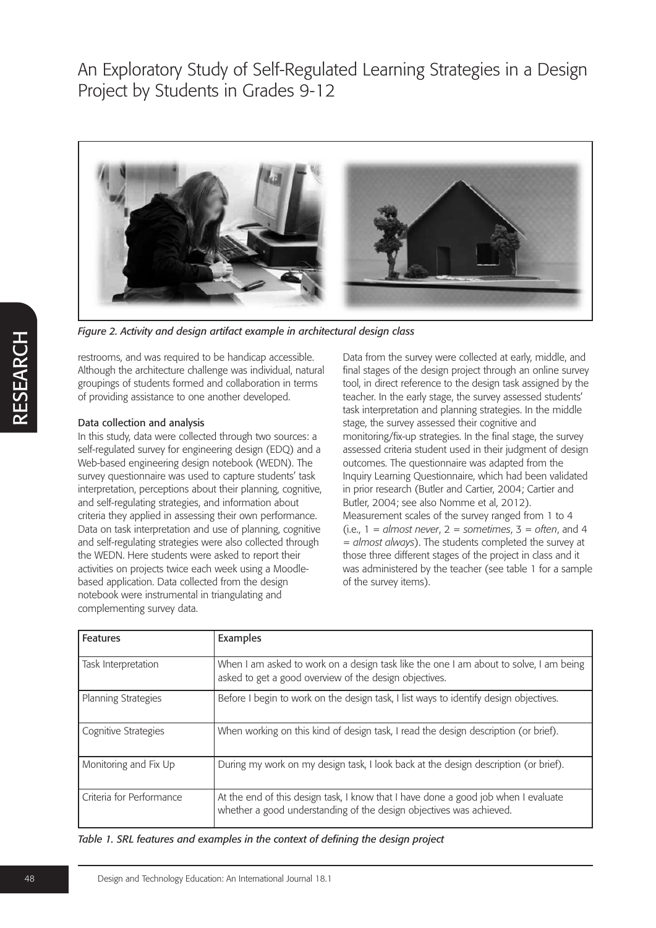

*Figure 2. Activity and design artifact example in architectural design class*

restrooms, and was required to be handicap accessible. Although the architecture challenge was individual, natural groupings of students formed and collaboration in terms of providing assistance to one another developed.

### Data collection and analysis

In this study, data were collected through two sources: a self-regulated survey for engineering design (EDQ) and a Web-based engineering design notebook (WEDN). The survey questionnaire was used to capture students' task interpretation, perceptions about their planning, cognitive, and self-regulating strategies, and information about criteria they applied in assessing their own performance. Data on task interpretation and use of planning, cognitive and self-regulating strategies were also collected through the WEDN. Here students were asked to report their activities on projects twice each week using a Moodlebased application. Data collected from the design notebook were instrumental in triangulating and complementing survey data.

Data from the survey were collected at early, middle, and final stages of the design project through an online survey tool, in direct reference to the design task assigned by the teacher. In the early stage, the survey assessed students' task interpretation and planning strategies. In the middle stage, the survey assessed their cognitive and monitoring/fix-up strategies. In the final stage, the survey assessed criteria student used in their judgment of design outcomes. The questionnaire was adapted from the Inquiry Learning Questionnaire, which had been validated in prior research (Butler and Cartier, 2004; Cartier and Butler, 2004; see also Nomme et al, 2012). Measurement scales of the survey ranged from 1 to 4  $(i.e., 1 = almost never, 2 = sometimes, 3 = often, and 4$ = *almost always*). The students completed the survey at those three different stages of the project in class and it was administered by the teacher (see table 1 for a sample of the survey items).

| <b>Features</b>            | Examples                                                                                                                                                  |
|----------------------------|-----------------------------------------------------------------------------------------------------------------------------------------------------------|
| Task Interpretation        | When I am asked to work on a design task like the one I am about to solve, I am being<br>asked to get a good overview of the design objectives.           |
| <b>Planning Strategies</b> | Before I begin to work on the design task, I list ways to identify design objectives.                                                                     |
| Cognitive Strategies       | When working on this kind of design task, I read the design description (or brief).                                                                       |
| Monitoring and Fix Up      | During my work on my design task, I look back at the design description (or brief).                                                                       |
| Criteria for Performance   | At the end of this design task, I know that I have done a good job when I evaluate<br>whether a good understanding of the design objectives was achieved. |

*Table 1. SRL features and examples in the context of defining the design project*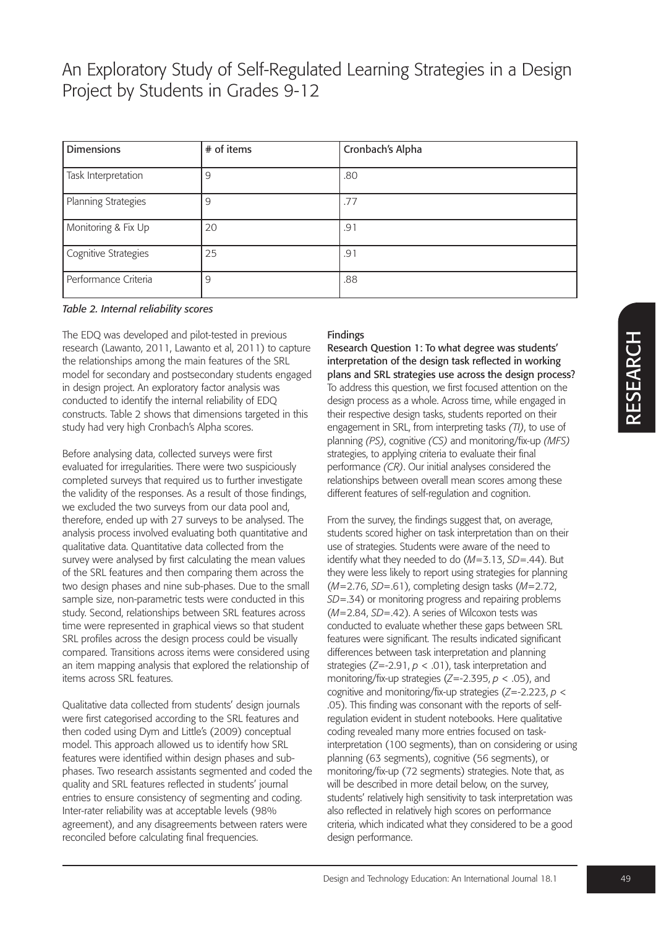| <b>Dimensions</b>    | # of items | Cronbach's Alpha |
|----------------------|------------|------------------|
| Task Interpretation  | 9          | .80              |
| Planning Strategies  | 9          | .77              |
| Monitoring & Fix Up  | 20         | .91              |
| Cognitive Strategies | 25         | .91              |
| Performance Criteria | 9          | .88              |

*Table 2. Internal reliability scores*

The EDQ was developed and pilot-tested in previous research (Lawanto, 2011, Lawanto et al, 2011) to capture the relationships among the main features of the SRL model for secondary and postsecondary students engaged in design project. An exploratory factor analysis was conducted to identify the internal reliability of EDQ constructs. Table 2 shows that dimensions targeted in this study had very high Cronbach's Alpha scores.

Before analysing data, collected surveys were first evaluated for irregularities. There were two suspiciously completed surveys that required us to further investigate the validity of the responses. As a result of those findings, we excluded the two surveys from our data pool and, therefore, ended up with 27 surveys to be analysed. The analysis process involved evaluating both quantitative and qualitative data. Quantitative data collected from the survey were analysed by first calculating the mean values of the SRL features and then comparing them across the two design phases and nine sub-phases. Due to the small sample size, non-parametric tests were conducted in this study. Second, relationships between SRL features across time were represented in graphical views so that student SRL profiles across the design process could be visually compared. Transitions across items were considered using an item mapping analysis that explored the relationship of items across SRL features.

Qualitative data collected from students' design journals were first categorised according to the SRL features and then coded using Dym and Little's (2009) conceptual model. This approach allowed us to identify how SRL features were identified within design phases and subphases. Two research assistants segmented and coded the quality and SRL features reflected in students' journal entries to ensure consistency of segmenting and coding. Inter-rater reliability was at acceptable levels (98% agreement), and any disagreements between raters were reconciled before calculating final frequencies.

### Findings

Research Question 1: To what degree was students' interpretation of the design task reflected in working plans and SRL strategies use across the design process? To address this question, we first focused attention on the design process as a whole. Across time, while engaged in their respective design tasks, students reported on their engagement in SRL, from interpreting tasks *(TI)*, to use of planning *(PS)*, cognitive *(CS)* and monitoring/fix-up *(MFS)* strategies, to applying criteria to evaluate their final performance *(CR)*. Our initial analyses considered the relationships between overall mean scores among these different features of self-regulation and cognition.

From the survey, the findings suggest that, on average, students scored higher on task interpretation than on their use of strategies. Students were aware of the need to identify what they needed to do (*M*=3.13, *SD*=.44). But they were less likely to report using strategies for planning (*M*=2.76, *SD*=.61), completing design tasks (*M*=2.72, *SD*=.34) or monitoring progress and repairing problems (*M*=2.84, *SD*=.42). A series of Wilcoxon tests was conducted to evaluate whether these gaps between SRL features were significant. The results indicated significant differences between task interpretation and planning strategies (*Z*=-2.91, *p* < .01), task interpretation and monitoring/fix-up strategies (*Z*=-2.395, *p* < .05), and cognitive and monitoring/fix-up strategies (*Z*=-2.223, *p* < .05). This finding was consonant with the reports of selfregulation evident in student notebooks. Here qualitative coding revealed many more entries focused on taskinterpretation (100 segments), than on considering or using planning (63 segments), cognitive (56 segments), or monitoring/fix-up (72 segments) strategies. Note that, as will be described in more detail below, on the survey, students' relatively high sensitivity to task interpretation was also reflected in relatively high scores on performance criteria, which indicated what they considered to be a good design performance.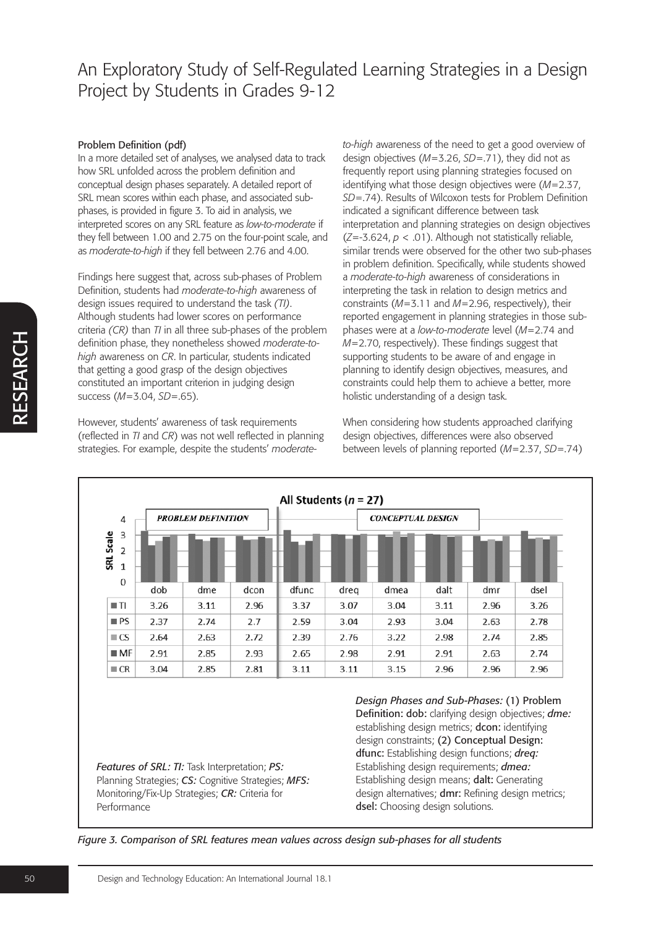#### Problem Definition (pdf)

In a more detailed set of analyses, we analysed data to track how SRL unfolded across the problem definition and conceptual design phases separately. A detailed report of SRL mean scores within each phase, and associated subphases, is provided in figure 3. To aid in analysis, we interpreted scores on any SRL feature as *low-to-moderate* if they fell between 1.00 and 2.75 on the four-point scale, and as *moderate-to-high* if they fell between 2.76 and 4.00.

Findings here suggest that, across sub-phases of Problem Definition, students had *moderate-to-high* awareness of design issues required to understand the task *(TI)*. Although students had lower scores on performance criteria *(CR)* than *TI* in all three sub-phases of the problem definition phase, they nonetheless showed *moderate-tohigh* awareness on *CR*. In particular, students indicated that getting a good grasp of the design objectives constituted an important criterion in judging design success (*M*=3.04, *SD*=.65).

However, students' awareness of task requirements (reflected in *TI* and *CR*) was not well reflected in planning strategies. For example, despite the students' *moderate-* *to-high* awareness of the need to get a good overview of design objectives (*M*=3.26, *SD*=.71), they did not as frequently report using planning strategies focused on identifying what those design objectives were (*M*=2.37, *SD*=.74). Results of Wilcoxon tests for Problem Definition indicated a significant difference between task interpretation and planning strategies on design objectives (*Z*=-3.624, *p* < .01). Although not statistically reliable, similar trends were observed for the other two sub-phases in problem definition. Specifically, while students showed a *moderate-to-high* awareness of considerations in interpreting the task in relation to design metrics and constraints (*M*=3.11 and *M*=2.96, respectively), their reported engagement in planning strategies in those subphases were at a *low-to-moderate* level (*M*=2.74 and *M*=2.70, respectively). These findings suggest that supporting students to be aware of and engage in planning to identify design objectives, measures, and constraints could help them to achieve a better, more holistic understanding of a design task.

When considering how students approached clarifying design objectives, differences were also observed between levels of planning reported (*M*=2.37, *SD*=.74)



*Features of SRL: TI:* Task Interpretation; *PS:* Planning Strategies; *CS:* Cognitive Strategies; *MFS:* Monitoring/Fix-Up Strategies; *CR:* Criteria for Performance

*Design Phases and Sub-Phases:* (1) Problem Definition: dob: clarifying design objectives; *dme:* establishing design metrics; dcon: identifying design constraints; (2) Conceptual Design: dfunc: Establishing design functions; *dreq:* Establishing design requirements; *dmea:* Establishing design means; dalt: Generating design alternatives; **dmr:** Refining design metrics; dsel: Choosing design solutions.

*Figure 3. Comparison of SRL features mean values across design sub-phases for all students*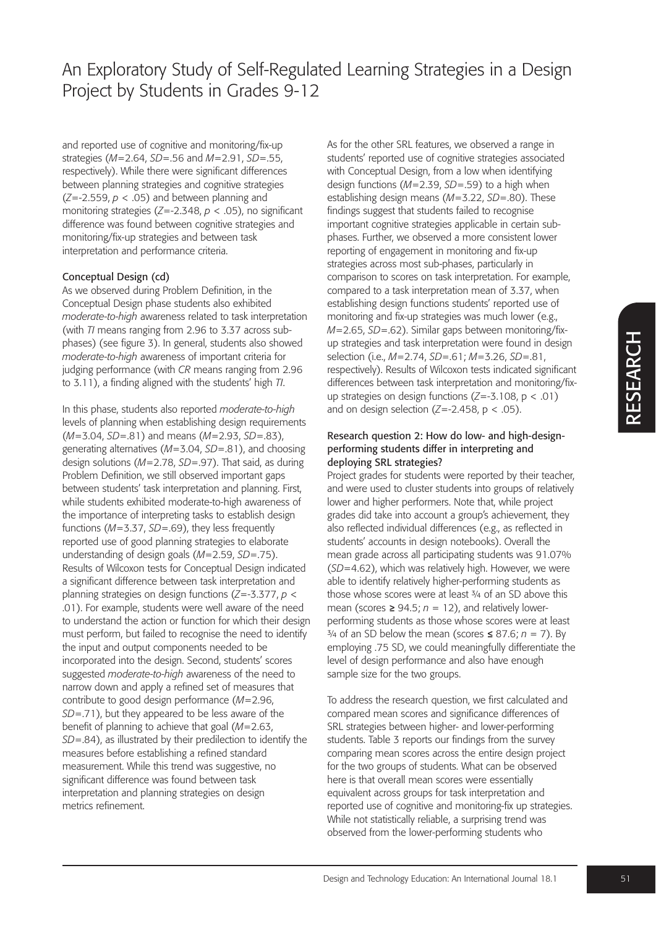and reported use of cognitive and monitoring/fix-up strategies (*M*=2.64, *SD*=.56 and *M*=2.91, *SD*=.55, respectively). While there were significant differences between planning strategies and cognitive strategies (*Z*=-2.559, *p* < .05) and between planning and monitoring strategies (*Z*=-2.348, *p* < .05), no significant difference was found between cognitive strategies and monitoring/fix-up strategies and between task interpretation and performance criteria.

#### Conceptual Design (cd)

As we observed during Problem Definition, in the Conceptual Design phase students also exhibited *moderate-to-high* awareness related to task interpretation (with *TI* means ranging from 2.96 to 3.37 across subphases) (see figure 3). In general, students also showed *moderate-to-high* awareness of important criteria for judging performance (with *CR* means ranging from 2.96 to 3.11), a finding aligned with the students' high *TI*.

In this phase, students also reported *moderate-to-high* levels of planning when establishing design requirements (*M*=3.04, *SD*=.81) and means (*M*=2.93, *SD*=.83), generating alternatives (*M*=3.04, *SD*=.81), and choosing design solutions (*M*=2.78, *SD*=.97). That said, as during Problem Definition, we still observed important gaps between students' task interpretation and planning. First, while students exhibited moderate-to-high awareness of the importance of interpreting tasks to establish design functions (*M*=3.37, *SD*=.69), they less frequently reported use of good planning strategies to elaborate understanding of design goals (*M*=2.59, *SD*=.75). Results of Wilcoxon tests for Conceptual Design indicated a significant difference between task interpretation and planning strategies on design functions (*Z*=-3.377, *p* < .01). For example, students were well aware of the need to understand the action or function for which their design must perform, but failed to recognise the need to identify the input and output components needed to be incorporated into the design. Second, students' scores suggested *moderate-to-high* awareness of the need to narrow down and apply a refined set of measures that contribute to good design performance (*M*=2.96, *SD*=.71), but they appeared to be less aware of the benefit of planning to achieve that goal (*M*=2.63, *SD*=.84), as illustrated by their predilection to identify the measures before establishing a refined standard measurement. While this trend was suggestive, no significant difference was found between task interpretation and planning strategies on design metrics refinement.

As for the other SRL features, we observed a range in students' reported use of cognitive strategies associated with Conceptual Design, from a low when identifying design functions (*M*=2.39, *SD*=.59) to a high when establishing design means (*M*=3.22, *SD*=.80). These findings suggest that students failed to recognise important cognitive strategies applicable in certain subphases. Further, we observed a more consistent lower reporting of engagement in monitoring and fix-up strategies across most sub-phases, particularly in comparison to scores on task interpretation. For example, compared to a task interpretation mean of 3.37, when establishing design functions students' reported use of monitoring and fix-up strategies was much lower (e.g., *M*=2.65, *SD*=.62). Similar gaps between monitoring/fixup strategies and task interpretation were found in design selection (i.e., *M*=2.74, *SD*=.61; *M*=3.26, *SD*=.81, respectively). Results of Wilcoxon tests indicated significant differences between task interpretation and monitoring/fixup strategies on design functions (*Z*=-3.108, p < .01) and on design selection  $(Z=-2.458, p < .05)$ .

### Research question 2: How do low- and high-designperforming students differ in interpreting and deploying SRL strategies?

Project grades for students were reported by their teacher, and were used to cluster students into groups of relatively lower and higher performers. Note that, while project grades did take into account a group's achievement, they also reflected individual differences (e.g., as reflected in students' accounts in design notebooks). Overall the mean grade across all participating students was 91.07% (*SD*=4.62), which was relatively high. However, we were able to identify relatively higher-performing students as those whose scores were at least 3/4 of an SD above this mean (scores *≥* 94.5; *n* = 12), and relatively lowerperforming students as those whose scores were at least ¾ of an SD below the mean (scores *≤* 87.6; *n* = 7). By employing .75 SD, we could meaningfully differentiate the level of design performance and also have enough sample size for the two groups.

To address the research question, we first calculated and compared mean scores and significance differences of SRL strategies between higher- and lower-performing students. Table 3 reports our findings from the survey comparing mean scores across the entire design project for the two groups of students. What can be observed here is that overall mean scores were essentially equivalent across groups for task interpretation and reported use of cognitive and monitoring-fix up strategies. While not statistically reliable, a surprising trend was observed from the lower-performing students who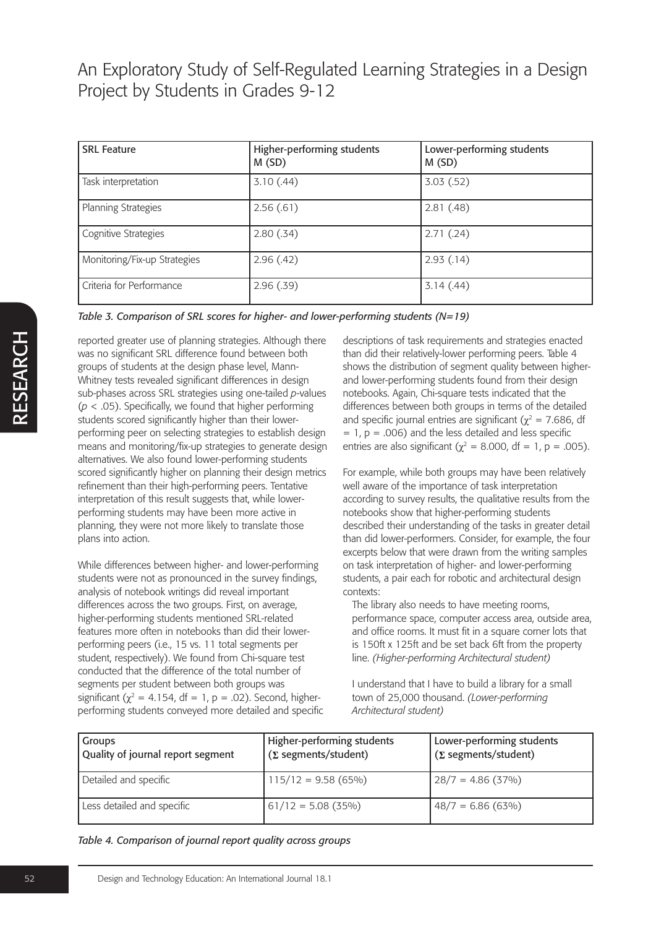| <b>SRL Feature</b>           | Higher-performing students<br>M(SD) | Lower-performing students<br>M(SD) |
|------------------------------|-------------------------------------|------------------------------------|
| Task interpretation          | 3.10(0.44)                          | 3.03(.52)                          |
| Planning Strategies          | 2.56(.61)                           | 2.81(.48)                          |
| Cognitive Strategies         | 2.80(.34)                           | 2.71(.24)                          |
| Monitoring/Fix-up Strategies | 2.96(.42)                           | 2.93(0.14)                         |
| Criteria for Performance     | 2.96(0.39)                          | 3.14(.44)                          |

*Table 3. Comparison of SRL scores for higher- and lower-performing students (N=19)*

reported greater use of planning strategies. Although there was no significant SRL difference found between both groups of students at the design phase level, Mann-Whitney tests revealed significant differences in design sub-phases across SRL strategies using one-tailed *p*-values (*p* < .05). Specifically, we found that higher performing students scored significantly higher than their lowerperforming peer on selecting strategies to establish design means and monitoring/fix-up strategies to generate design alternatives. We also found lower-performing students scored significantly higher on planning their design metrics refinement than their high-performing peers. Tentative interpretation of this result suggests that, while lowerperforming students may have been more active in planning, they were not more likely to translate those plans into action.

While differences between higher- and lower-performing students were not as pronounced in the survey findings, analysis of notebook writings did reveal important differences across the two groups. First, on average, higher-performing students mentioned SRL-related features more often in notebooks than did their lowerperforming peers (i.e., 15 vs. 11 total segments per student, respectively). We found from Chi-square test conducted that the difference of the total number of segments per student between both groups was significant ( $\chi^2$  = 4.154, df = 1, p = .02). Second, higherperforming students conveyed more detailed and specific descriptions of task requirements and strategies enacted than did their relatively-lower performing peers. Table 4 shows the distribution of segment quality between higherand lower-performing students found from their design notebooks. Again, Chi-square tests indicated that the differences between both groups in terms of the detailed and specific journal entries are significant ( $\gamma^2$  = 7.686, df  $= 1. p = .006$ ) and the less detailed and less specific entries are also significant ( $\chi^2$  = 8.000, df = 1, p = .005).

For example, while both groups may have been relatively well aware of the importance of task interpretation according to survey results, the qualitative results from the notebooks show that higher-performing students described their understanding of the tasks in greater detail than did lower-performers. Consider, for example, the four excerpts below that were drawn from the writing samples on task interpretation of higher- and lower-performing students, a pair each for robotic and architectural design contexts:

The library also needs to have meeting rooms, performance space, computer access area, outside area, and office rooms. It must fit in a square corner lots that is 150ft x 125ft and be set back 6ft from the property line. *(Higher-performing Architectural student)*

I understand that I have to build a library for a small town of 25,000 thousand. *(Lower-performing Architectural student)*

| Groups<br>Quality of journal report segment | Higher-performing students<br>$(\Sigma$ segments/student) | Lower-performing students<br>$(\Sigma$ segments/student) |
|---------------------------------------------|-----------------------------------------------------------|----------------------------------------------------------|
| Detailed and specific                       | $115/12 = 9.58(65\%)$                                     | $28/7 = 4.86(37\%)$                                      |
| Less detailed and specific                  | $61/12 = 5.08(35\%)$                                      | $48/7 = 6.86(63\%)$                                      |

#### *Table 4. Comparison of journal report quality across groups*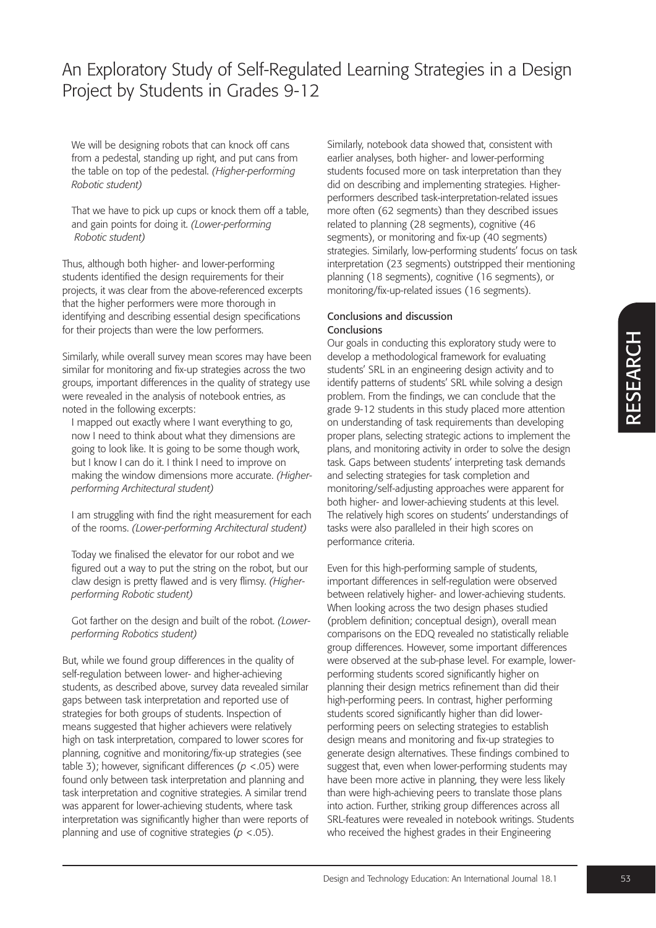We will be designing robots that can knock off cans from a pedestal, standing up right, and put cans from the table on top of the pedestal. *(Higher-performing Robotic student)*

That we have to pick up cups or knock them off a table, and gain points for doing it. *(Lower-performing Robotic student)*

Thus, although both higher- and lower-performing students identified the design requirements for their projects, it was clear from the above-referenced excerpts that the higher performers were more thorough in identifying and describing essential design specifications for their projects than were the low performers.

Similarly, while overall survey mean scores may have been similar for monitoring and fix-up strategies across the two groups, important differences in the quality of strategy use were revealed in the analysis of notebook entries, as noted in the following excerpts:

I mapped out exactly where I want everything to go, now I need to think about what they dimensions are going to look like. It is going to be some though work, but I know I can do it. I think I need to improve on making the window dimensions more accurate. *(Higherperforming Architectural student)*

I am struggling with find the right measurement for each of the rooms. *(Lower-performing Architectural student)*

Today we finalised the elevator for our robot and we figured out a way to put the string on the robot, but our claw design is pretty flawed and is very flimsy. *(Higherperforming Robotic student)*

Got farther on the design and built of the robot. *(Lowerperforming Robotics student)*

But, while we found group differences in the quality of self-regulation between lower- and higher-achieving students, as described above, survey data revealed similar gaps between task interpretation and reported use of strategies for both groups of students. Inspection of means suggested that higher achievers were relatively high on task interpretation, compared to lower scores for planning, cognitive and monitoring/fix-up strategies (see table 3); however, significant differences (*p* <.05) were found only between task interpretation and planning and task interpretation and cognitive strategies. A similar trend was apparent for lower-achieving students, where task interpretation was significantly higher than were reports of planning and use of cognitive strategies (*p* <.05).

Similarly, notebook data showed that, consistent with earlier analyses, both higher- and lower-performing students focused more on task interpretation than they did on describing and implementing strategies. Higherperformers described task-interpretation-related issues more often (62 segments) than they described issues related to planning (28 segments), cognitive (46 segments), or monitoring and fix-up (40 segments) strategies. Similarly, low-performing students' focus on task interpretation (23 segments) outstripped their mentioning planning (18 segments), cognitive (16 segments), or monitoring/fix-up-related issues (16 segments).

#### Conclusions and discussion Conclusions

Our goals in conducting this exploratory study were to develop a methodological framework for evaluating students' SRL in an engineering design activity and to identify patterns of students' SRL while solving a design problem. From the findings, we can conclude that the grade 9-12 students in this study placed more attention on understanding of task requirements than developing proper plans, selecting strategic actions to implement the plans, and monitoring activity in order to solve the design task. Gaps between students' interpreting task demands and selecting strategies for task completion and monitoring/self-adjusting approaches were apparent for both higher- and lower-achieving students at this level. The relatively high scores on students' understandings of tasks were also paralleled in their high scores on performance criteria.

Even for this high-performing sample of students, important differences in self-regulation were observed between relatively higher- and lower-achieving students. When looking across the two design phases studied (problem definition; conceptual design), overall mean comparisons on the EDQ revealed no statistically reliable group differences. However, some important differences were observed at the sub-phase level. For example, lowerperforming students scored significantly higher on planning their design metrics refinement than did their high-performing peers. In contrast, higher performing students scored significantly higher than did lowerperforming peers on selecting strategies to establish design means and monitoring and fix-up strategies to generate design alternatives. These findings combined to suggest that, even when lower-performing students may have been more active in planning, they were less likely than were high-achieving peers to translate those plans into action. Further, striking group differences across all SRL-features were revealed in notebook writings. Students who received the highest grades in their Engineering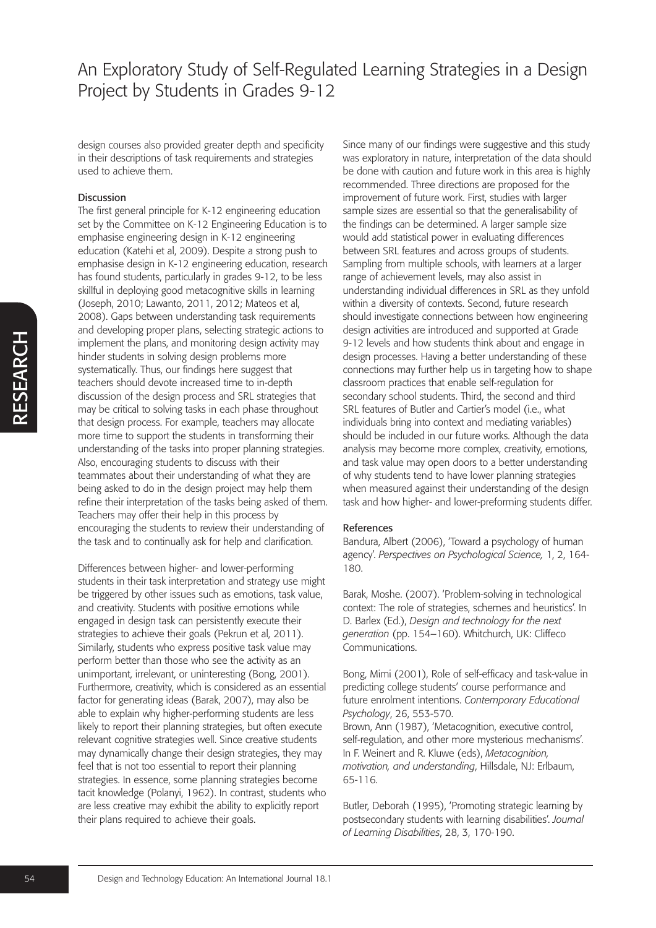design courses also provided greater depth and specificity in their descriptions of task requirements and strategies used to achieve them.

#### Discussion

The first general principle for K-12 engineering education set by the Committee on K-12 Engineering Education is to emphasise engineering design in K-12 engineering education (Katehi et al, 2009). Despite a strong push to emphasise design in K-12 engineering education, research has found students, particularly in grades 9-12, to be less skillful in deploying good metacognitive skills in learning (Joseph, 2010; Lawanto, 2011, 2012; Mateos et al, 2008). Gaps between understanding task requirements and developing proper plans, selecting strategic actions to implement the plans, and monitoring design activity may hinder students in solving design problems more systematically. Thus, our findings here suggest that teachers should devote increased time to in-depth discussion of the design process and SRL strategies that may be critical to solving tasks in each phase throughout that design process. For example, teachers may allocate more time to support the students in transforming their understanding of the tasks into proper planning strategies. Also, encouraging students to discuss with their teammates about their understanding of what they are being asked to do in the design project may help them refine their interpretation of the tasks being asked of them. Teachers may offer their help in this process by encouraging the students to review their understanding of the task and to continually ask for help and clarification.

Differences between higher- and lower-performing students in their task interpretation and strategy use might be triggered by other issues such as emotions, task value, and creativity. Students with positive emotions while engaged in design task can persistently execute their strategies to achieve their goals (Pekrun et al, 2011). Similarly, students who express positive task value may perform better than those who see the activity as an unimportant, irrelevant, or uninteresting (Bong, 2001). Furthermore, creativity, which is considered as an essential factor for generating ideas (Barak, 2007), may also be able to explain why higher-performing students are less likely to report their planning strategies, but often execute relevant cognitive strategies well. Since creative students may dynamically change their design strategies, they may feel that is not too essential to report their planning strategies. In essence, some planning strategies become tacit knowledge (Polanyi, 1962). In contrast, students who are less creative may exhibit the ability to explicitly report their plans required to achieve their goals.

Since many of our findings were suggestive and this study was exploratory in nature, interpretation of the data should be done with caution and future work in this area is highly recommended. Three directions are proposed for the improvement of future work. First, studies with larger sample sizes are essential so that the generalisability of the findings can be determined. A larger sample size would add statistical power in evaluating differences between SRL features and across groups of students. Sampling from multiple schools, with learners at a larger range of achievement levels, may also assist in understanding individual differences in SRL as they unfold within a diversity of contexts. Second, future research should investigate connections between how engineering design activities are introduced and supported at Grade 9-12 levels and how students think about and engage in design processes. Having a better understanding of these connections may further help us in targeting how to shape classroom practices that enable self-regulation for secondary school students. Third, the second and third SRL features of Butler and Cartier's model (i.e., what individuals bring into context and mediating variables) should be included in our future works. Although the data analysis may become more complex, creativity, emotions, and task value may open doors to a better understanding of why students tend to have lower planning strategies when measured against their understanding of the design task and how higher- and lower-preforming students differ.

#### References

Bandura, Albert (2006), 'Toward a psychology of human agency'. *Perspectives on Psychological Science,* 1, 2, 164- 180.

Barak, Moshe. (2007). 'Problem-solving in technological context: The role of strategies, schemes and heuristics'. In D. Barlex (Ed.), *Design and technology for the next generation* (pp. 154–160). Whitchurch, UK: Cliffeco Communications.

Bong, Mimi (2001), Role of self-efficacy and task-value in predicting college students' course performance and future enrolment intentions. *Contemporary Educational Psychology*, 26, 553-570.

Brown, Ann (1987), 'Metacognition, executive control, self-regulation, and other more mysterious mechanisms'. In F. Weinert and R. Kluwe (eds), *Metacognition, motivation, and understanding*, Hillsdale, NJ: Erlbaum, 65-116.

Butler, Deborah (1995), 'Promoting strategic learning by postsecondary students with learning disabilities'. *Journal of Learning Disabilities*, 28, 3, 170-190.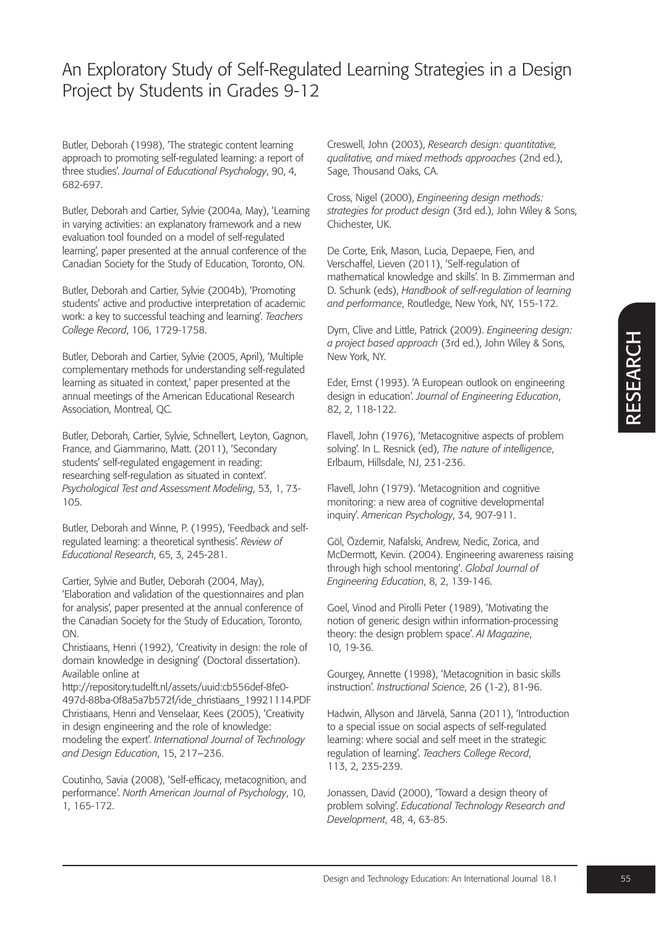Butler, Deborah (1998), 'The strategic content learning approach to promoting self-regulated learning: a report of three studies'. *Journal of Educational Psychology*, 90, 4, 682-697.

Butler, Deborah and Cartier, Sylvie (2004a, May), 'Learning in varying activities: an explanatory framework and a new evaluation tool founded on a model of self-regulated learning', paper presented at the annual conference of the Canadian Society for the Study of Education, Toronto, ON.

Butler, Deborah and Cartier, Sylvie (2004b), 'Promoting students' active and productive interpretation of academic work: a key to successful teaching and learning'. *Teachers College Record*, 106, 1729-1758.

Butler, Deborah and Cartier, Sylvie (2005, April), 'Multiple complementary methods for understanding self-regulated learning as situated in context,' paper presented at the annual meetings of the American Educational Research Association, Montreal, QC.

Butler, Deborah, Cartier, Sylvie, Schnellert, Leyton, Gagnon, France, and Giammarino, Matt. (2011), 'Secondary students' self-regulated engagement in reading: researching self-regulation as situated in context'. *Psychological Test and Assessment Modeling*, 53, 1, 73- 105.

Butler, Deborah and Winne, P. (1995), 'Feedback and selfregulated learning: a theoretical synthesis'. *Review of Educational Research*, 65, 3, 245-281.

Cartier, Sylvie and Butler, Deborah (2004, May), 'Elaboration and validation of the questionnaires and plan for analysis', paper presented at the annual conference of the Canadian Society for the Study of Education, Toronto, ON.

Christiaans, Henri (1992), 'Creativity in design: the role of domain knowledge in designing' (Doctoral dissertation). Available online at

http://repository.tudelft.nl/assets/uuid:cb556def-8fe0- 497d-88ba-0f8a5a7b572f/ide\_christiaans\_19921114.PDF Christiaans, Henri and Venselaar, Kees (2005), 'Creativity in design engineering and the role of knowledge: modeling the expert'. *International Journal of Technology and Design Education*, 15, 217–236.

Coutinho, Savia (2008), 'Self-efficacy, metacognition, and performance'. *North American Journal of Psychology*, 10, 1, 165-172.

Creswell, John (2003), *Research design: quantitative, qualitative, and mixed methods approaches* (2nd ed.), Sage, Thousand Oaks, CA.

Cross, Nigel (2000), *Engineering design methods: strategies for product design* (3rd ed.), John Wiley & Sons, Chichester, UK.

De Corte, Erik, Mason, Lucia, Depaepe, Fien, and Verschaffel, Lieven (2011), 'Self-regulation of mathematical knowledge and skills'. In B. Zimmerman and D. Schunk (eds), *Handbook of self-regulation of learning and performance*, Routledge, New York, NY, 155-172.

Dym, Clive and Little, Patrick (2009). *Engineering design: a project based approach* (3rd ed.), John Wiley & Sons, New York, NY.

Eder, Ernst (1993). 'A European outlook on engineering design in education'. *Journal of Engineering Education*, 82, 2, 118-122.

Flavell, John (1976), 'Metacognitive aspects of problem solving'. In L. Resnick (ed), *The nature of intelligence*, Erlbaum, Hillsdale, NJ, 231-236.

Flavell, John (1979). 'Metacognition and cognitive monitoring: a new area of cognitive developmental inquiry'. *American Psychology*, 34, 907-911.

Göl, Özdemir, Nafalski, Andrew, Nedic, Zorica, and McDermott, Kevin. (2004). Engineering awareness raising through high school mentoring'. *Global Journal of Engineering Education*, 8, 2, 139-146.

Goel, Vinod and Pirolli Peter (1989), 'Motivating the notion of generic design within information-processing theory: the design problem space'. *AI Magazine*, 10, 19-36.

Gourgey, Annette (1998), 'Metacognition in basic skills instruction'. *Instructional Science*, 26 (1-2), 81-96.

Hadwin, Allyson and Järvelä, Sanna (2011), 'Introduction to a special issue on social aspects of self-regulated learning: where social and self meet in the strategic regulation of learning'. *Teachers College Record*, 113, 2, 235-239.

Jonassen, David (2000), 'Toward a design theory of problem solving'. *Educational Technology Research and Development*, 48, 4, 63-85.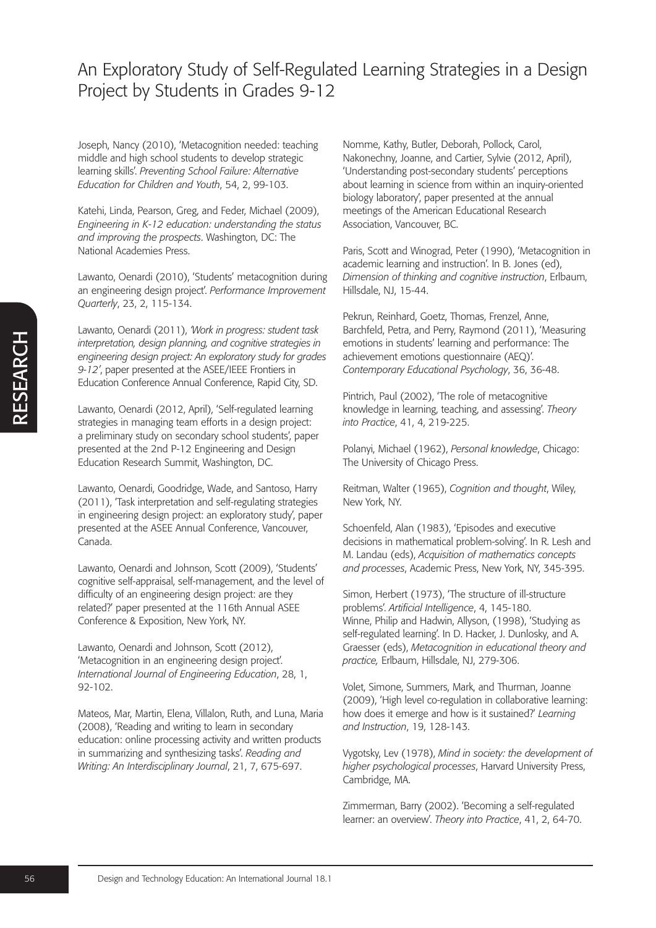Joseph, Nancy (2010), 'Metacognition needed: teaching middle and high school students to develop strategic learning skills'. *Preventing School Failure: Alternative Education for Children and Youth*, 54, 2, 99-103.

Katehi, Linda, Pearson, Greg, and Feder, Michael (2009), *Engineering in K-12 education: understanding the status and improving the prospects*. Washington, DC: The National Academies Press.

Lawanto, Oenardi (2010), 'Students' metacognition during an engineering design project'. *Performance Improvement Quarterly*, 23, 2, 115-134.

Lawanto, Oenardi (2011), *'Work in progress: student task interpretation, design planning, and cognitive strategies in engineering design project: An exploratory study for grades 9-12'*, paper presented at the ASEE/IEEE Frontiers in Education Conference Annual Conference, Rapid City, SD.

Lawanto, Oenardi (2012, April), 'Self-regulated learning strategies in managing team efforts in a design project: a preliminary study on secondary school students', paper presented at the 2nd P-12 Engineering and Design Education Research Summit, Washington, DC.

Lawanto, Oenardi, Goodridge, Wade, and Santoso, Harry (2011), 'Task interpretation and self-regulating strategies in engineering design project: an exploratory study', paper presented at the ASEE Annual Conference, Vancouver, Canada.

Lawanto, Oenardi and Johnson, Scott (2009), 'Students' cognitive self-appraisal, self-management, and the level of difficulty of an engineering design project: are they related?' paper presented at the 116th Annual ASEE Conference & Exposition, New York, NY.

Lawanto, Oenardi and Johnson, Scott (2012), 'Metacognition in an engineering design project'. *International Journal of Engineering Education*, 28, 1, 92-102.

Mateos, Mar, Martin, Elena, Villalon, Ruth, and Luna, Maria (2008), 'Reading and writing to learn in secondary education: online processing activity and written products in summarizing and synthesizing tasks'. *Reading and Writing: An Interdisciplinary Journal*, 21, 7, 675-697.

Nomme, Kathy, Butler, Deborah, Pollock, Carol, Nakonechny, Joanne, and Cartier, Sylvie (2012, April), 'Understanding post-secondary students' perceptions about learning in science from within an inquiry-oriented biology laboratory', paper presented at the annual meetings of the American Educational Research Association, Vancouver, BC.

Paris, Scott and Winograd, Peter (1990), 'Metacognition in academic learning and instruction'. In B. Jones (ed), *Dimension of thinking and cognitive instruction*, Erlbaum, Hillsdale, NJ, 15-44.

Pekrun, Reinhard, Goetz, Thomas, Frenzel, Anne, Barchfeld, Petra, and Perry, Raymond (2011), 'Measuring emotions in students' learning and performance: The achievement emotions questionnaire (AEQ)'. *Contemporary Educational Psychology*, 36, 36-48.

Pintrich, Paul (2002), 'The role of metacognitive knowledge in learning, teaching, and assessing'. *Theory into Practice*, 41, 4, 219-225.

Polanyi, Michael (1962), *Personal knowledge*, Chicago: The University of Chicago Press.

Reitman, Walter (1965), *Cognition and thought*, Wiley, New York, NY.

Schoenfeld, Alan (1983), 'Episodes and executive decisions in mathematical problem-solving'. In R. Lesh and M. Landau (eds), *Acquisition of mathematics concepts and processes*, Academic Press, New York, NY, 345-395.

Simon, Herbert (1973), 'The structure of ill-structure problems'. *Artificial Intelligence*, 4, 145-180. Winne, Philip and Hadwin, Allyson, (1998), 'Studying as self-regulated learning'. In D. Hacker, J. Dunlosky, and A. Graesser (eds), *Metacognition in educational theory and practice,* Erlbaum, Hillsdale, NJ, 279-306.

Volet, Simone, Summers, Mark, and Thurman, Joanne (2009), 'High level co-regulation in collaborative learning: how does it emerge and how is it sustained?' *Learning and Instruction*, 19, 128-143.

Vygotsky, Lev (1978), *Mind in society: the development of higher psychological processes*, Harvard University Press, Cambridge, MA.

Zimmerman, Barry (2002). 'Becoming a self-regulated learner: an overview'. *Theory into Practice*, 41, 2, 64-70.